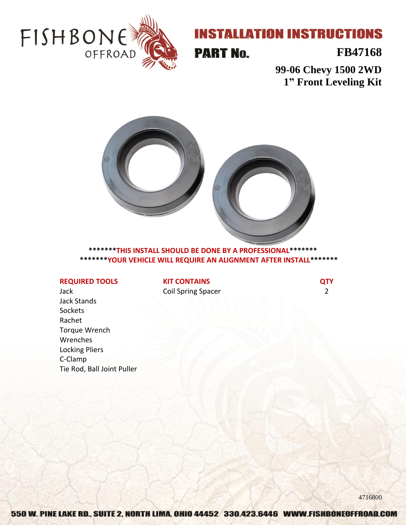

# **INSTALLATION INSTRUCTIONS**

**PART No.** 

### **FB47168**

**99-06 Chevy 1500 2WD 1" Front Leveling Kit**



**\*\*\*\*\*\*\*THIS INSTALL SHOULD BE DONE BY A PROFESSIONAL\*\*\*\*\*\*\* \*\*\*\*\*\*\*YOUR VEHICLE WILL REQUIRE AN ALIGNMENT AFTER INSTALL\*\*\*\*\*\*\***

### **REQUIRED TOOLS**

Jack Jack Stands Sockets Rachet Torque Wrench Wrenches Locking Pliers C-Clamp Tie Rod, Ball Joint Puller **KIT CONTAINS** Coil Spring Spacer **QTY** 2

4716800